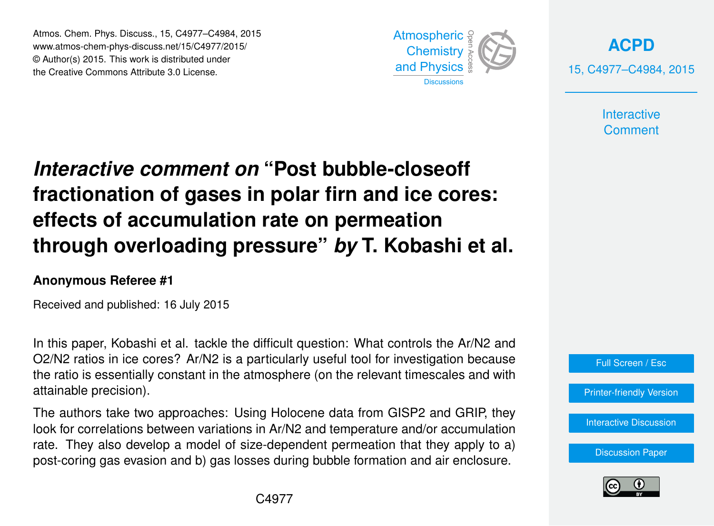Atmos. Chem. Phys. Discuss., 15, C4977–C4984, 2015 www.atmos-chem-phys-discuss.net/15/C4977/2015/ © Author(s) 2015. This work is distributed under the Creative Commons Attribute 3.0 License.



**[ACPD](http://www.atmos-chem-phys-discuss.net)** 15, C4977–C4984, 2015

> **Interactive Comment**

# *Interactive comment on* **"Post bubble-closeoff fractionation of gases in polar firn and ice cores: effects of accumulation rate on permeation through overloading pressure"** *by* **T. Kobashi et al.**

#### **Anonymous Referee #1**

Received and published: 16 July 2015

In this paper, Kobashi et al. tackle the difficult question: What controls the Ar/N2 and O2/N2 ratios in ice cores? Ar/N2 is a particularly useful tool for investigation because the ratio is essentially constant in the atmosphere (on the relevant timescales and with attainable precision).

The authors take two approaches: Using Holocene data from GISP2 and GRIP, they look for correlations between variations in Ar/N2 and temperature and/or accumulation rate. They also develop a model of size-dependent permeation that they apply to a) post-coring gas evasion and b) gas losses during bubble formation and air enclosure.



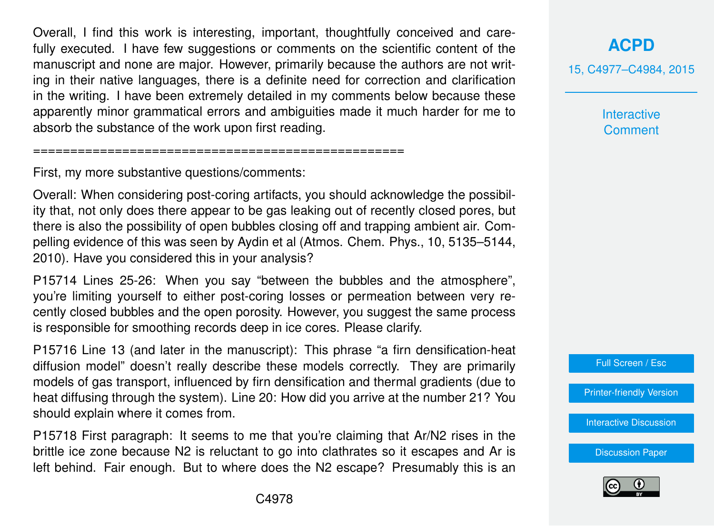Overall, I find this work is interesting, important, thoughtfully conceived and carefully executed. I have few suggestions or comments on the scientific content of the manuscript and none are major. However, primarily because the authors are not writing in their native languages, there is a definite need for correction and clarification in the writing. I have been extremely detailed in my comments below because these apparently minor grammatical errors and ambiguities made it much harder for me to absorb the substance of the work upon first reading.

First, my more substantive questions/comments:

==================================================

Overall: When considering post-coring artifacts, you should acknowledge the possibility that, not only does there appear to be gas leaking out of recently closed pores, but there is also the possibility of open bubbles closing off and trapping ambient air. Compelling evidence of this was seen by Aydin et al (Atmos. Chem. Phys., 10, 5135–5144, 2010). Have you considered this in your analysis?

P15714 Lines 25-26: When you say "between the bubbles and the atmosphere", you're limiting yourself to either post-coring losses or permeation between very recently closed bubbles and the open porosity. However, you suggest the same process is responsible for smoothing records deep in ice cores. Please clarify.

P15716 Line 13 (and later in the manuscript): This phrase "a firn densification-heat diffusion model" doesn't really describe these models correctly. They are primarily models of gas transport, influenced by firn densification and thermal gradients (due to heat diffusing through the system). Line 20: How did you arrive at the number 21? You should explain where it comes from.

P15718 First paragraph: It seems to me that you're claiming that Ar/N2 rises in the brittle ice zone because N2 is reluctant to go into clathrates so it escapes and Ar is left behind. Fair enough. But to where does the N2 escape? Presumably this is an

### **[ACPD](http://www.atmos-chem-phys-discuss.net)**

15, C4977–C4984, 2015

**Interactive Comment** 



[Printer-friendly Version](http://www.atmos-chem-phys-discuss.net/15/C4977/2015/acpd-15-C4977-2015-print.pdf)

[Interactive Discussion](http://www.atmos-chem-phys-discuss.net/15/15711/2015/acpd-15-15711-2015-discussion.html)

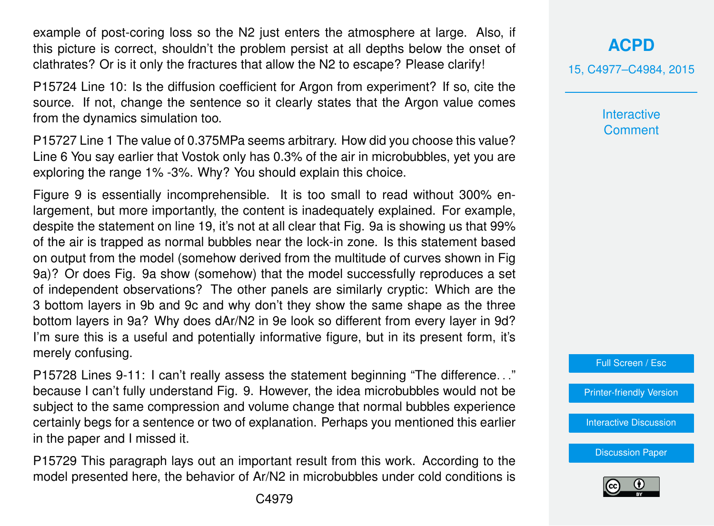example of post-coring loss so the N2 just enters the atmosphere at large. Also, if this picture is correct, shouldn't the problem persist at all depths below the onset of clathrates? Or is it only the fractures that allow the N2 to escape? Please clarify!

P15724 Line 10: Is the diffusion coefficient for Argon from experiment? If so, cite the source. If not, change the sentence so it clearly states that the Argon value comes from the dynamics simulation too.

P15727 Line 1 The value of 0.375MPa seems arbitrary. How did you choose this value? Line 6 You say earlier that Vostok only has 0.3% of the air in microbubbles, yet you are exploring the range 1% -3%. Why? You should explain this choice.

Figure 9 is essentially incomprehensible. It is too small to read without 300% enlargement, but more importantly, the content is inadequately explained. For example, despite the statement on line 19, it's not at all clear that Fig. 9a is showing us that 99% of the air is trapped as normal bubbles near the lock-in zone. Is this statement based on output from the model (somehow derived from the multitude of curves shown in Fig 9a)? Or does Fig. 9a show (somehow) that the model successfully reproduces a set of independent observations? The other panels are similarly cryptic: Which are the 3 bottom layers in 9b and 9c and why don't they show the same shape as the three bottom layers in 9a? Why does dAr/N2 in 9e look so different from every layer in 9d? I'm sure this is a useful and potentially informative figure, but in its present form, it's merely confusing.

P15728 Lines 9-11: I can't really assess the statement beginning "The difference. . ." because I can't fully understand Fig. 9. However, the idea microbubbles would not be subject to the same compression and volume change that normal bubbles experience certainly begs for a sentence or two of explanation. Perhaps you mentioned this earlier in the paper and I missed it.

P15729 This paragraph lays out an important result from this work. According to the model presented here, the behavior of Ar/N2 in microbubbles under cold conditions is 15, C4977–C4984, 2015

**Interactive Comment** 



[Printer-friendly Version](http://www.atmos-chem-phys-discuss.net/15/C4977/2015/acpd-15-C4977-2015-print.pdf)

[Interactive Discussion](http://www.atmos-chem-phys-discuss.net/15/15711/2015/acpd-15-15711-2015-discussion.html)

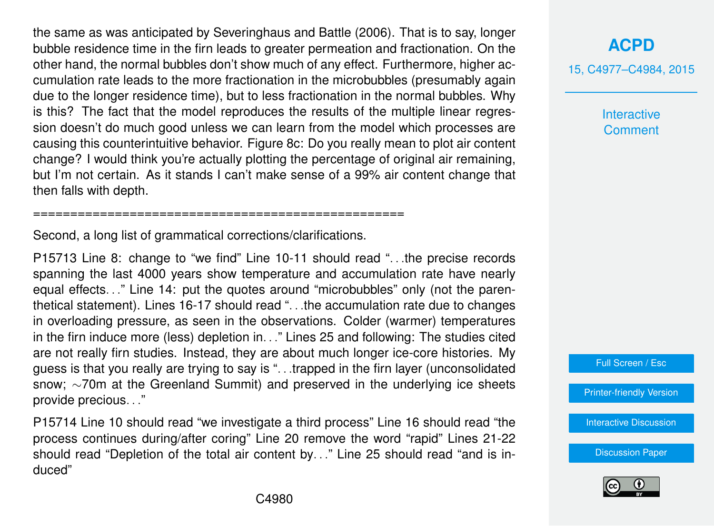the same as was anticipated by Severinghaus and Battle (2006). That is to say, longer bubble residence time in the firn leads to greater permeation and fractionation. On the other hand, the normal bubbles don't show much of any effect. Furthermore, higher accumulation rate leads to the more fractionation in the microbubbles (presumably again due to the longer residence time), but to less fractionation in the normal bubbles. Why is this? The fact that the model reproduces the results of the multiple linear regression doesn't do much good unless we can learn from the model which processes are causing this counterintuitive behavior. Figure 8c: Do you really mean to plot air content change? I would think you're actually plotting the percentage of original air remaining, but I'm not certain. As it stands I can't make sense of a 99% air content change that then falls with depth.

Second, a long list of grammatical corrections/clarifications.

==================================================

P15713 Line 8: change to "we find" Line 10-11 should read ". . .the precise records spanning the last 4000 years show temperature and accumulation rate have nearly equal effects. . ." Line 14: put the quotes around "microbubbles" only (not the parenthetical statement). Lines 16-17 should read ". . .the accumulation rate due to changes in overloading pressure, as seen in the observations. Colder (warmer) temperatures in the firn induce more (less) depletion in. . ." Lines 25 and following: The studies cited are not really firn studies. Instead, they are about much longer ice-core histories. My guess is that you really are trying to say is ". . .trapped in the firn layer (unconsolidated snow; ∼70m at the Greenland Summit) and preserved in the underlying ice sheets provide precious. . ."

P15714 Line 10 should read "we investigate a third process" Line 16 should read "the process continues during/after coring" Line 20 remove the word "rapid" Lines 21-22 should read "Depletion of the total air content by. . ." Line 25 should read "and is induced"

**[ACPD](http://www.atmos-chem-phys-discuss.net)**

15, C4977–C4984, 2015

**Interactive Comment** 

Full Screen / Esc

[Printer-friendly Version](http://www.atmos-chem-phys-discuss.net/15/C4977/2015/acpd-15-C4977-2015-print.pdf)

[Interactive Discussion](http://www.atmos-chem-phys-discuss.net/15/15711/2015/acpd-15-15711-2015-discussion.html)

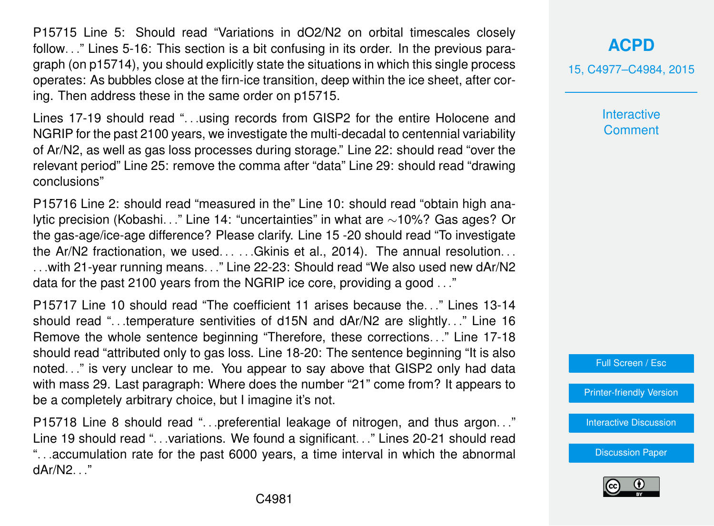P15715 Line 5: Should read "Variations in dO2/N2 on orbital timescales closely follow. . ." Lines 5-16: This section is a bit confusing in its order. In the previous paragraph (on p15714), you should explicitly state the situations in which this single process operates: As bubbles close at the firn-ice transition, deep within the ice sheet, after coring. Then address these in the same order on p15715.

Lines 17-19 should read ". . .using records from GISP2 for the entire Holocene and NGRIP for the past 2100 years, we investigate the multi-decadal to centennial variability of Ar/N2, as well as gas loss processes during storage." Line 22: should read "over the relevant period" Line 25: remove the comma after "data" Line 29: should read "drawing conclusions"

P15716 Line 2: should read "measured in the" Line 10: should read "obtain high analytic precision (Kobashi. . ." Line 14: "uncertainties" in what are ∼10%? Gas ages? Or the gas-age/ice-age difference? Please clarify. Line 15 -20 should read "To investigate the Ar/N2 fractionation, we used. . . . . .Gkinis et al., 2014). The annual resolution. . . . . .with 21-year running means. . ." Line 22-23: Should read "We also used new dAr/N2 data for the past 2100 years from the NGRIP ice core, providing a good . . ."

P15717 Line 10 should read "The coefficient 11 arises because the. . ." Lines 13-14 should read "...temperature sentivities of d15N and dAr/N2 are slightly..." Line 16 Remove the whole sentence beginning "Therefore, these corrections. . ." Line 17-18 should read "attributed only to gas loss. Line 18-20: The sentence beginning "It is also noted. . ." is very unclear to me. You appear to say above that GISP2 only had data with mass 29. Last paragraph: Where does the number "21" come from? It appears to be a completely arbitrary choice, but I imagine it's not.

P15718 Line 8 should read "...preferential leakage of nitrogen, and thus argon..." Line 19 should read ". . .variations. We found a significant. . ." Lines 20-21 should read ". . .accumulation rate for the past 6000 years, a time interval in which the abnormal dAr/N2 "

#### **[ACPD](http://www.atmos-chem-phys-discuss.net)**

15, C4977–C4984, 2015

**Interactive Comment** 

Full Screen / Esc

[Printer-friendly Version](http://www.atmos-chem-phys-discuss.net/15/C4977/2015/acpd-15-C4977-2015-print.pdf)

[Interactive Discussion](http://www.atmos-chem-phys-discuss.net/15/15711/2015/acpd-15-15711-2015-discussion.html)

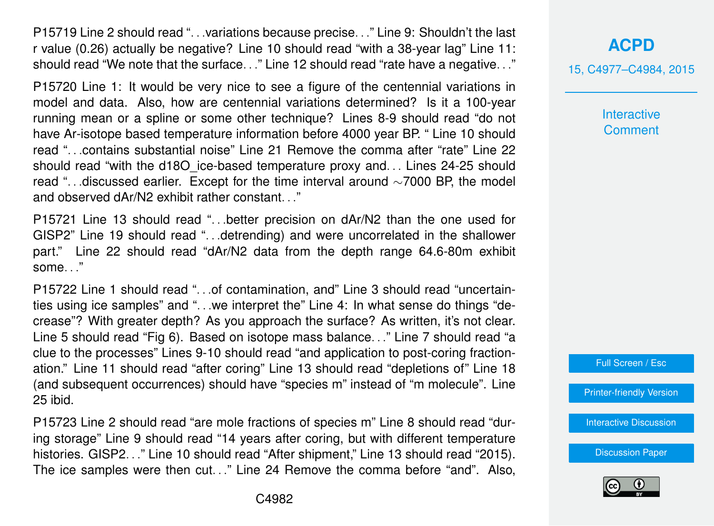P15719 Line 2 should read ". . .variations because precise. . ." Line 9: Shouldn't the last r value (0.26) actually be negative? Line 10 should read "with a 38-year lag" Line 11: should read "We note that the surface. . ." Line 12 should read "rate have a negative. . ."

P15720 Line 1: It would be very nice to see a figure of the centennial variations in model and data. Also, how are centennial variations determined? Is it a 100-year running mean or a spline or some other technique? Lines 8-9 should read "do not have Ar-isotope based temperature information before 4000 year BP. " Line 10 should read ". . contains substantial noise" Line 21 Remove the comma after "rate" Line 22 should read "with the d18O ice-based temperature proxy and... Lines 24-25 should read ". . .discussed earlier. Except for the time interval around ∼7000 BP, the model and observed dAr/N2 exhibit rather constant. . ."

P15721 Line 13 should read ". . .better precision on dAr/N2 than the one used for GISP2" Line 19 should read ". . .detrending) and were uncorrelated in the shallower part." Line 22 should read "dAr/N2 data from the depth range 64.6-80m exhibit some. . ."

P15722 Line 1 should read ". . .of contamination, and" Line 3 should read "uncertainties using ice samples" and ". . .we interpret the" Line 4: In what sense do things "decrease"? With greater depth? As you approach the surface? As written, it's not clear. Line 5 should read "Fig 6). Based on isotope mass balance. . ." Line 7 should read "a clue to the processes" Lines 9-10 should read "and application to post-coring fractionation." Line 11 should read "after coring" Line 13 should read "depletions of" Line 18 (and subsequent occurrences) should have "species m" instead of "m molecule". Line 25 ibid.

P15723 Line 2 should read "are mole fractions of species m" Line 8 should read "during storage" Line 9 should read "14 years after coring, but with different temperature histories. GISP2. . ." Line 10 should read "After shipment," Line 13 should read "2015). The ice samples were then cut. . ." Line 24 Remove the comma before "and". Also,

## **[ACPD](http://www.atmos-chem-phys-discuss.net)**

15, C4977–C4984, 2015

**Interactive Comment** 



[Printer-friendly Version](http://www.atmos-chem-phys-discuss.net/15/C4977/2015/acpd-15-C4977-2015-print.pdf)

[Interactive Discussion](http://www.atmos-chem-phys-discuss.net/15/15711/2015/acpd-15-15711-2015-discussion.html)

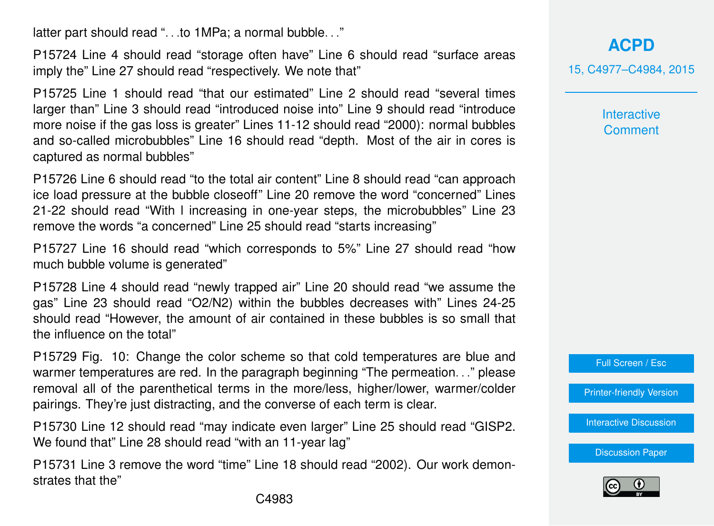latter part should read "...to 1MPa; a normal bubble..."

P15724 Line 4 should read "storage often have" Line 6 should read "surface areas imply the" Line 27 should read "respectively. We note that"

P15725 Line 1 should read "that our estimated" Line 2 should read "several times larger than" Line 3 should read "introduced noise into" Line 9 should read "introduce more noise if the gas loss is greater" Lines 11-12 should read "2000): normal bubbles and so-called microbubbles" Line 16 should read "depth. Most of the air in cores is captured as normal bubbles"

P15726 Line 6 should read "to the total air content" Line 8 should read "can approach ice load pressure at the bubble closeoff" Line 20 remove the word "concerned" Lines 21-22 should read "With l increasing in one-year steps, the microbubbles" Line 23 remove the words "a concerned" Line 25 should read "starts increasing"

P15727 Line 16 should read "which corresponds to 5%" Line 27 should read "how much bubble volume is generated"

P15728 Line 4 should read "newly trapped air" Line 20 should read "we assume the gas" Line 23 should read "O2/N2) within the bubbles decreases with" Lines 24-25 should read "However, the amount of air contained in these bubbles is so small that the influence on the total"

P15729 Fig. 10: Change the color scheme so that cold temperatures are blue and warmer temperatures are red. In the paragraph beginning "The permeation..." please removal all of the parenthetical terms in the more/less, higher/lower, warmer/colder pairings. They're just distracting, and the converse of each term is clear.

P15730 Line 12 should read "may indicate even larger" Line 25 should read "GISP2. We found that" Line 28 should read "with an 11-year lag"

P15731 Line 3 remove the word "time" Line 18 should read "2002). Our work demonstrates that the"

**[ACPD](http://www.atmos-chem-phys-discuss.net)** 15, C4977–C4984, 2015

> **Interactive Comment**

Full Screen / Esc

[Printer-friendly Version](http://www.atmos-chem-phys-discuss.net/15/C4977/2015/acpd-15-C4977-2015-print.pdf)

[Interactive Discussion](http://www.atmos-chem-phys-discuss.net/15/15711/2015/acpd-15-15711-2015-discussion.html)